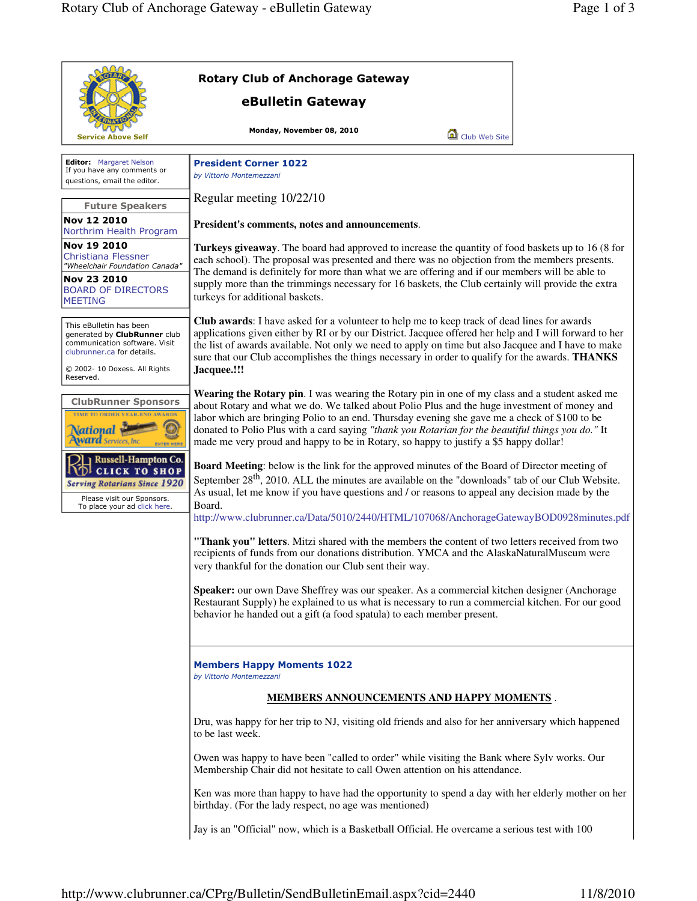|                                                                                                                                                                      | <b>Rotary Club of Anchorage Gateway</b>                                                                                                                                                                                                                                                                                                                                                                                                                                                              |
|----------------------------------------------------------------------------------------------------------------------------------------------------------------------|------------------------------------------------------------------------------------------------------------------------------------------------------------------------------------------------------------------------------------------------------------------------------------------------------------------------------------------------------------------------------------------------------------------------------------------------------------------------------------------------------|
|                                                                                                                                                                      | eBulletin Gateway                                                                                                                                                                                                                                                                                                                                                                                                                                                                                    |
| Service Above Self                                                                                                                                                   | Monday, November 08, 2010<br>Club Web Site                                                                                                                                                                                                                                                                                                                                                                                                                                                           |
| Editor: Margaret Nelson<br>If you have any comments or<br>questions, email the editor.                                                                               | <b>President Corner 1022</b><br>by Vittorio Montemezzani                                                                                                                                                                                                                                                                                                                                                                                                                                             |
| <b>Future Speakers</b>                                                                                                                                               | Regular meeting 10/22/10                                                                                                                                                                                                                                                                                                                                                                                                                                                                             |
| Nov 12 2010<br>Northrim Health Program                                                                                                                               | President's comments, notes and announcements.                                                                                                                                                                                                                                                                                                                                                                                                                                                       |
| Nov 19 2010<br>Christiana Flessner<br>"Wheelchair Foundation Canada"<br>Nov 23 2010<br><b>BOARD OF DIRECTORS</b><br><b>MEETING</b>                                   | Turkeys giveaway. The board had approved to increase the quantity of food baskets up to 16 (8 for<br>each school). The proposal was presented and there was no objection from the members presents.<br>The demand is definitely for more than what we are offering and if our members will be able to<br>supply more than the trimmings necessary for 16 baskets, the Club certainly will provide the extra<br>turkeys for additional baskets.                                                       |
| This eBulletin has been<br>generated by ClubRunner club<br>communication software. Visit<br>clubrunner.ca for details.<br>© 2002- 10 Doxess. All Rights<br>Reserved. | <b>Club awards:</b> I have asked for a volunteer to help me to keep track of dead lines for awards<br>applications given either by RI or by our District. Jacquee offered her help and I will forward to her<br>the list of awards available. Not only we need to apply on time but also Jacquee and I have to make<br>sure that our Club accomplishes the things necessary in order to qualify for the awards. THANKS<br>Jacquee.!!!                                                                |
| <b>ClubRunner Sponsors</b><br>TIME TO ORDER YEAR-END AWARDS<br><b>\ational \</b><br>Award Services, Inc.<br><b>ENTER HER</b>                                         | <b>Wearing the Rotary pin.</b> I was wearing the Rotary pin in one of my class and a student asked me<br>about Rotary and what we do. We talked about Polio Plus and the huge investment of money and<br>labor which are bringing Polio to an end. Thursday evening she gave me a check of \$100 to be<br>donated to Polio Plus with a card saying "thank you Rotarian for the beautiful things you do." It<br>made me very proud and happy to be in Rotary, so happy to justify a \$5 happy dollar! |
| Russell-Hampton Co.<br><b>CLICK TO SHOP</b><br><b>Serving Rotarians Since 1920</b><br>Please visit our Sponsors.<br>To place your ad click here.                     | Board Meeting: below is the link for the approved minutes of the Board of Director meeting of<br>September 28 <sup>th</sup> , 2010. ALL the minutes are available on the "downloads" tab of our Club Website.<br>As usual, let me know if you have questions and / or reasons to appeal any decision made by the<br>Board.<br>http://www.clubrunner.ca/Data/5010/2440/HTML/107068/AnchorageGatewayBOD0928minutes.pdf                                                                                 |
|                                                                                                                                                                      | "Thank you" letters. Mitzi shared with the members the content of two letters received from two<br>recipients of funds from our donations distribution. YMCA and the AlaskaNaturalMuseum were<br>very thankful for the donation our Club sent their way.                                                                                                                                                                                                                                             |
|                                                                                                                                                                      | Speaker: our own Dave Sheffrey was our speaker. As a commercial kitchen designer (Anchorage<br>Restaurant Supply) he explained to us what is necessary to run a commercial kitchen. For our good<br>behavior he handed out a gift (a food spatula) to each member present.                                                                                                                                                                                                                           |
|                                                                                                                                                                      | <b>Members Happy Moments 1022</b><br>by Vittorio Montemezzani                                                                                                                                                                                                                                                                                                                                                                                                                                        |
|                                                                                                                                                                      | <b>MEMBERS ANNOUNCEMENTS AND HAPPY MOMENTS.</b>                                                                                                                                                                                                                                                                                                                                                                                                                                                      |
|                                                                                                                                                                      | Dru, was happy for her trip to NJ, visiting old friends and also for her anniversary which happened<br>to be last week.                                                                                                                                                                                                                                                                                                                                                                              |
|                                                                                                                                                                      | Owen was happy to have been "called to order" while visiting the Bank where Sylv works. Our<br>Membership Chair did not hesitate to call Owen attention on his attendance.                                                                                                                                                                                                                                                                                                                           |
|                                                                                                                                                                      | Ken was more than happy to have had the opportunity to spend a day with her elderly mother on her<br>birthday. (For the lady respect, no age was mentioned)                                                                                                                                                                                                                                                                                                                                          |
|                                                                                                                                                                      | Jay is an "Official" now, which is a Basketball Official. He overcame a serious test with 100                                                                                                                                                                                                                                                                                                                                                                                                        |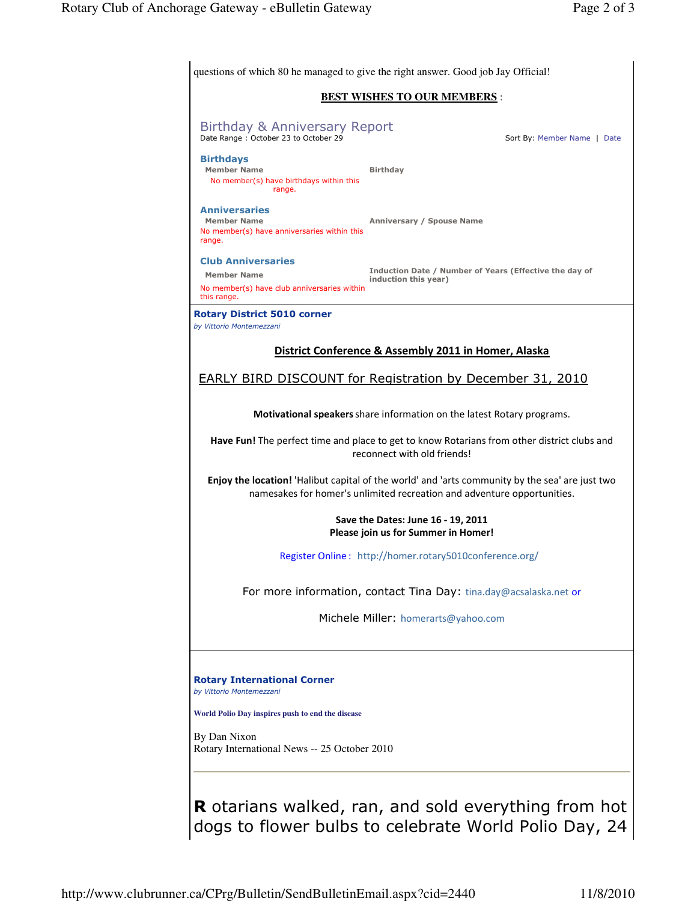| questions of which 80 he managed to give the right answer. Good job Jay Official!                                                                                                               |
|-------------------------------------------------------------------------------------------------------------------------------------------------------------------------------------------------|
| <b>BEST WISHES TO OUR MEMBERS:</b>                                                                                                                                                              |
| <b>Birthday &amp; Anniversary Report</b><br>Date Range: October 23 to October 29<br>Sort By: Member Name   Date                                                                                 |
| <b>Birthdays</b><br><b>Member Name</b><br><b>Birthday</b><br>No member(s) have birthdays within this<br>range.                                                                                  |
| <b>Anniversaries</b><br><b>Member Name</b><br>Anniversary / Spouse Name<br>No member(s) have anniversaries within this<br>range.                                                                |
| <b>Club Anniversaries</b><br>Induction Date / Number of Years (Effective the day of<br><b>Member Name</b><br>induction this year)<br>No member(s) have club anniversaries within<br>this range. |
| <b>Rotary District 5010 corner</b><br>by Vittorio Montemezzani                                                                                                                                  |
| District Conference & Assembly 2011 in Homer, Alaska                                                                                                                                            |
| <b>EARLY BIRD DISCOUNT for Registration by December 31, 2010</b>                                                                                                                                |
| Motivational speakers share information on the latest Rotary programs.                                                                                                                          |
| Have Fun! The perfect time and place to get to know Rotarians from other district clubs and<br>reconnect with old friends!                                                                      |
| Enjoy the location! 'Halibut capital of the world' and 'arts community by the sea' are just two<br>namesakes for homer's unlimited recreation and adventure opportunities.                      |
| Save the Dates: June 16 - 19, 2011<br>Please join us for Summer in Homer!                                                                                                                       |
| Register Online: http://homer.rotary5010conference.org/                                                                                                                                         |
| For more information, contact Tina Day: tina.day@acsalaska.net or                                                                                                                               |
| Michele Miller: homerarts@yahoo.com                                                                                                                                                             |
| <b>Rotary International Corner</b><br>by Vittorio Montemezzani                                                                                                                                  |
| World Polio Day inspires push to end the disease                                                                                                                                                |
| By Dan Nixon<br>Rotary International News -- 25 October 2010                                                                                                                                    |
| <b>R</b> otarians walked, ran, and sold everything from hot                                                                                                                                     |

dogs to flower bulbs to celebrate World Polio Day, 24

http://www.clubrunner.ca/CPrg/Bulletin/SendBulletinEmail.aspx?cid=2440 11/8/2010